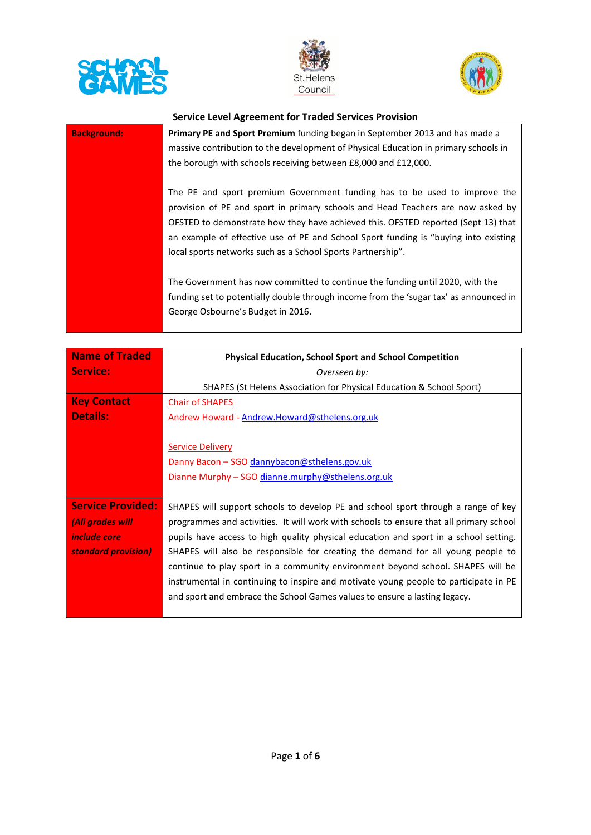





| <b>Background:</b> | <b>Primary PE and Sport Premium</b> funding began in September 2013 and has made a<br>massive contribution to the development of Physical Education in primary schools in<br>the borough with schools receiving between £8,000 and £12,000.                                                                                                                                                             |
|--------------------|---------------------------------------------------------------------------------------------------------------------------------------------------------------------------------------------------------------------------------------------------------------------------------------------------------------------------------------------------------------------------------------------------------|
|                    | The PE and sport premium Government funding has to be used to improve the<br>provision of PE and sport in primary schools and Head Teachers are now asked by<br>OFSTED to demonstrate how they have achieved this. OFSTED reported (Sept 13) that<br>an example of effective use of PE and School Sport funding is "buying into existing<br>local sports networks such as a School Sports Partnership". |
|                    | The Government has now committed to continue the funding until 2020, with the<br>funding set to potentially double through income from the 'sugar tax' as announced in<br>George Osbourne's Budget in 2016.                                                                                                                                                                                             |

| Name of Traded           | <b>Physical Education, School Sport and School Competition</b>                         |
|--------------------------|----------------------------------------------------------------------------------------|
| Service:                 | Overseen by:                                                                           |
|                          | SHAPES (St Helens Association for Physical Education & School Sport)                   |
| <b>Key Contact</b>       | <b>Chair of SHAPES</b>                                                                 |
| <b>Details:</b>          | Andrew Howard - Andrew.Howard@sthelens.org.uk                                          |
|                          |                                                                                        |
|                          | <b>Service Delivery</b>                                                                |
|                          | Danny Bacon - SGO dannybacon@sthelens.gov.uk                                           |
|                          | Dianne Murphy – SGO dianne.murphy@sthelens.org.uk                                      |
|                          |                                                                                        |
| <b>Service Provided:</b> | SHAPES will support schools to develop PE and school sport through a range of key      |
| (All grades will         | programmes and activities. It will work with schools to ensure that all primary school |
| <i>include core</i>      | pupils have access to high quality physical education and sport in a school setting.   |
| standard provision)      | SHAPES will also be responsible for creating the demand for all young people to        |
|                          | continue to play sport in a community environment beyond school. SHAPES will be        |
|                          | instrumental in continuing to inspire and motivate young people to participate in PE   |
|                          | and sport and embrace the School Games values to ensure a lasting legacy.              |
|                          |                                                                                        |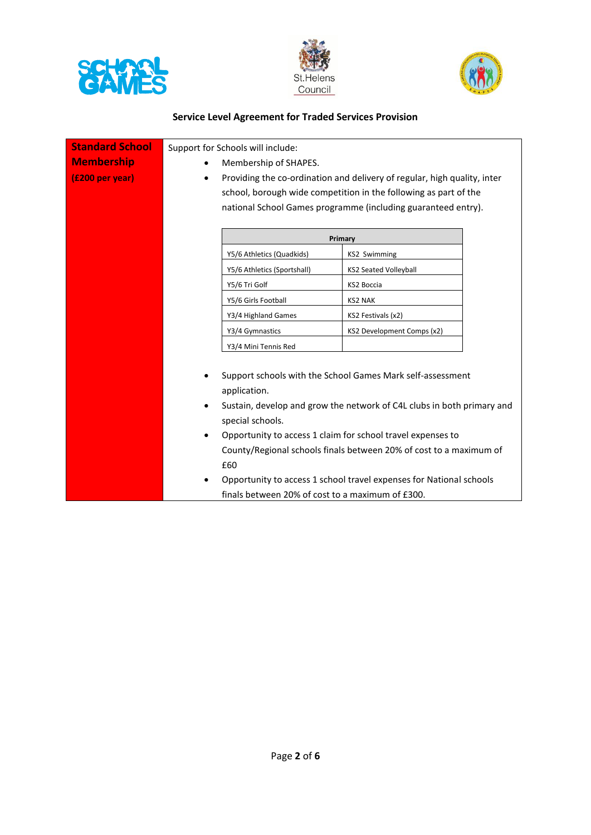





| <b>Standard School</b> |           | Support for Schools will include:                           |                                                                          |
|------------------------|-----------|-------------------------------------------------------------|--------------------------------------------------------------------------|
| <b>Membership</b>      |           | Membership of SHAPES.                                       |                                                                          |
| (£200 per year)        | ٠         |                                                             | Providing the co-ordination and delivery of regular, high quality, inter |
|                        |           |                                                             | school, borough wide competition in the following as part of the         |
|                        |           |                                                             | national School Games programme (including guaranteed entry).            |
|                        |           |                                                             |                                                                          |
|                        |           |                                                             | Primary                                                                  |
|                        |           | Y5/6 Athletics (Quadkids)                                   | <b>KS2 Swimming</b>                                                      |
|                        |           | Y5/6 Athletics (Sportshall)                                 | <b>KS2 Seated Volleyball</b>                                             |
|                        |           | Y5/6 Tri Golf                                               | KS2 Boccia                                                               |
|                        |           | Y5/6 Girls Football                                         | <b>KS2 NAK</b>                                                           |
|                        |           | Y3/4 Highland Games                                         | KS2 Festivals (x2)                                                       |
|                        |           | Y3/4 Gymnastics                                             | KS2 Development Comps (x2)                                               |
|                        |           | Y3/4 Mini Tennis Red                                        |                                                                          |
|                        |           |                                                             |                                                                          |
|                        |           |                                                             | Support schools with the School Games Mark self-assessment               |
|                        |           | application.                                                |                                                                          |
|                        |           |                                                             | Sustain, develop and grow the network of C4L clubs in both primary and   |
|                        |           | special schools.                                            |                                                                          |
|                        | $\bullet$ | Opportunity to access 1 claim for school travel expenses to |                                                                          |
|                        |           |                                                             | County/Regional schools finals between 20% of cost to a maximum of       |
|                        |           | £60                                                         |                                                                          |
|                        | $\bullet$ |                                                             | Opportunity to access 1 school travel expenses for National schools      |
|                        |           | finals between 20% of cost to a maximum of £300.            |                                                                          |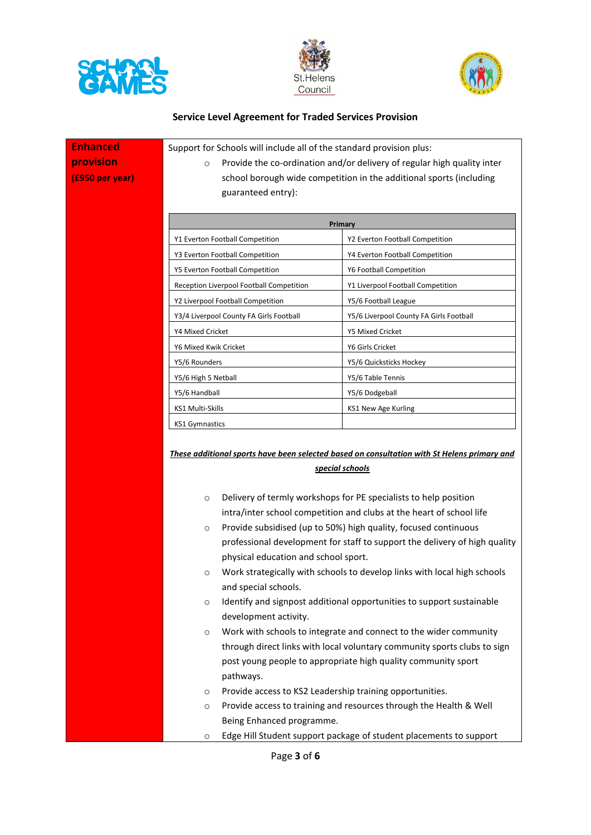





| <b>Enhanced</b> | Support for Schools will include all of the standard provision plus:                                                                                                                             |                                                                                                                                                                                                                                                                                                                                                                                                                                                                                                                                                                                                                                                                                                                                                                                                    |
|-----------------|--------------------------------------------------------------------------------------------------------------------------------------------------------------------------------------------------|----------------------------------------------------------------------------------------------------------------------------------------------------------------------------------------------------------------------------------------------------------------------------------------------------------------------------------------------------------------------------------------------------------------------------------------------------------------------------------------------------------------------------------------------------------------------------------------------------------------------------------------------------------------------------------------------------------------------------------------------------------------------------------------------------|
| provision       | Provide the co-ordination and/or delivery of regular high quality inter<br>$\circ$                                                                                                               |                                                                                                                                                                                                                                                                                                                                                                                                                                                                                                                                                                                                                                                                                                                                                                                                    |
| (£950 per year) | guaranteed entry):                                                                                                                                                                               | school borough wide competition in the additional sports (including                                                                                                                                                                                                                                                                                                                                                                                                                                                                                                                                                                                                                                                                                                                                |
|                 | Primary                                                                                                                                                                                          |                                                                                                                                                                                                                                                                                                                                                                                                                                                                                                                                                                                                                                                                                                                                                                                                    |
|                 | Y1 Everton Football Competition                                                                                                                                                                  | Y2 Everton Football Competition                                                                                                                                                                                                                                                                                                                                                                                                                                                                                                                                                                                                                                                                                                                                                                    |
|                 | Y3 Everton Football Competition                                                                                                                                                                  | Y4 Everton Football Competition                                                                                                                                                                                                                                                                                                                                                                                                                                                                                                                                                                                                                                                                                                                                                                    |
|                 | Y5 Everton Football Competition                                                                                                                                                                  | Y6 Football Competition                                                                                                                                                                                                                                                                                                                                                                                                                                                                                                                                                                                                                                                                                                                                                                            |
|                 | Reception Liverpool Football Competition                                                                                                                                                         | Y1 Liverpool Football Competition                                                                                                                                                                                                                                                                                                                                                                                                                                                                                                                                                                                                                                                                                                                                                                  |
|                 | Y2 Liverpool Football Competition                                                                                                                                                                | Y5/6 Football League                                                                                                                                                                                                                                                                                                                                                                                                                                                                                                                                                                                                                                                                                                                                                                               |
|                 | Y3/4 Liverpool County FA Girls Football                                                                                                                                                          | Y5/6 Liverpool County FA Girls Football                                                                                                                                                                                                                                                                                                                                                                                                                                                                                                                                                                                                                                                                                                                                                            |
|                 | Y4 Mixed Cricket                                                                                                                                                                                 | Y5 Mixed Cricket                                                                                                                                                                                                                                                                                                                                                                                                                                                                                                                                                                                                                                                                                                                                                                                   |
|                 | Y6 Mixed Kwik Cricket                                                                                                                                                                            | Y6 Girls Cricket                                                                                                                                                                                                                                                                                                                                                                                                                                                                                                                                                                                                                                                                                                                                                                                   |
|                 | Y5/6 Rounders                                                                                                                                                                                    | Y5/6 Quicksticks Hockey                                                                                                                                                                                                                                                                                                                                                                                                                                                                                                                                                                                                                                                                                                                                                                            |
|                 | Y5/6 High 5 Netball                                                                                                                                                                              | Y5/6 Table Tennis                                                                                                                                                                                                                                                                                                                                                                                                                                                                                                                                                                                                                                                                                                                                                                                  |
|                 | Y5/6 Handball                                                                                                                                                                                    | Y5/6 Dodgeball                                                                                                                                                                                                                                                                                                                                                                                                                                                                                                                                                                                                                                                                                                                                                                                     |
|                 | KS1 Multi-Skills                                                                                                                                                                                 | KS1 New Age Kurling                                                                                                                                                                                                                                                                                                                                                                                                                                                                                                                                                                                                                                                                                                                                                                                |
|                 | <b>KS1 Gymnastics</b>                                                                                                                                                                            |                                                                                                                                                                                                                                                                                                                                                                                                                                                                                                                                                                                                                                                                                                                                                                                                    |
|                 |                                                                                                                                                                                                  | These additional sports have been selected based on consultation with St Helens primary and<br>special schools                                                                                                                                                                                                                                                                                                                                                                                                                                                                                                                                                                                                                                                                                     |
|                 | $\circ$<br>$\circ$<br>physical education and school sport.<br>$\circ$<br>and special schools.<br>O<br>development activity.<br>$\circ$<br>pathways.<br>O<br>$\circ$<br>Being Enhanced programme. | Delivery of termly workshops for PE specialists to help position<br>intra/inter school competition and clubs at the heart of school life<br>Provide subsidised (up to 50%) high quality, focused continuous<br>professional development for staff to support the delivery of high quality<br>Work strategically with schools to develop links with local high schools<br>Identify and signpost additional opportunities to support sustainable<br>Work with schools to integrate and connect to the wider community<br>through direct links with local voluntary community sports clubs to sign<br>post young people to appropriate high quality community sport<br>Provide access to KS2 Leadership training opportunities.<br>Provide access to training and resources through the Health & Well |
|                 | $\circ$                                                                                                                                                                                          | Edge Hill Student support package of student placements to support                                                                                                                                                                                                                                                                                                                                                                                                                                                                                                                                                                                                                                                                                                                                 |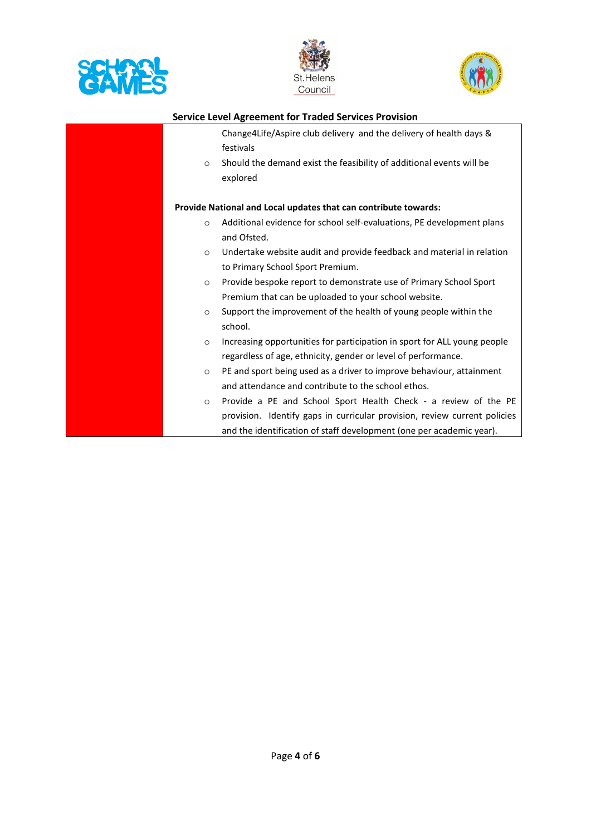





|         | <b>Service Level Agreement for Traded Services Provision</b>                                                                                                                                                         |
|---------|----------------------------------------------------------------------------------------------------------------------------------------------------------------------------------------------------------------------|
| $\circ$ | Change4Life/Aspire club delivery and the delivery of health days &<br>festivals<br>Should the demand exist the feasibility of additional events will be<br>explored                                                  |
|         | Provide National and Local updates that can contribute towards:                                                                                                                                                      |
| $\circ$ | Additional evidence for school self-evaluations, PE development plans<br>and Ofsted.                                                                                                                                 |
| $\circ$ | Undertake website audit and provide feedback and material in relation<br>to Primary School Sport Premium.                                                                                                            |
| $\circ$ | Provide bespoke report to demonstrate use of Primary School Sport<br>Premium that can be uploaded to your school website.                                                                                            |
| $\circ$ | Support the improvement of the health of young people within the<br>school.                                                                                                                                          |
| $\circ$ | Increasing opportunities for participation in sport for ALL young people<br>regardless of age, ethnicity, gender or level of performance.                                                                            |
| $\circ$ | PE and sport being used as a driver to improve behaviour, attainment<br>and attendance and contribute to the school ethos.                                                                                           |
| $\circ$ | Provide a PE and School Sport Health Check - a review of the PE<br>provision. Identify gaps in curricular provision, review current policies<br>and the identification of staff development (one per academic year). |

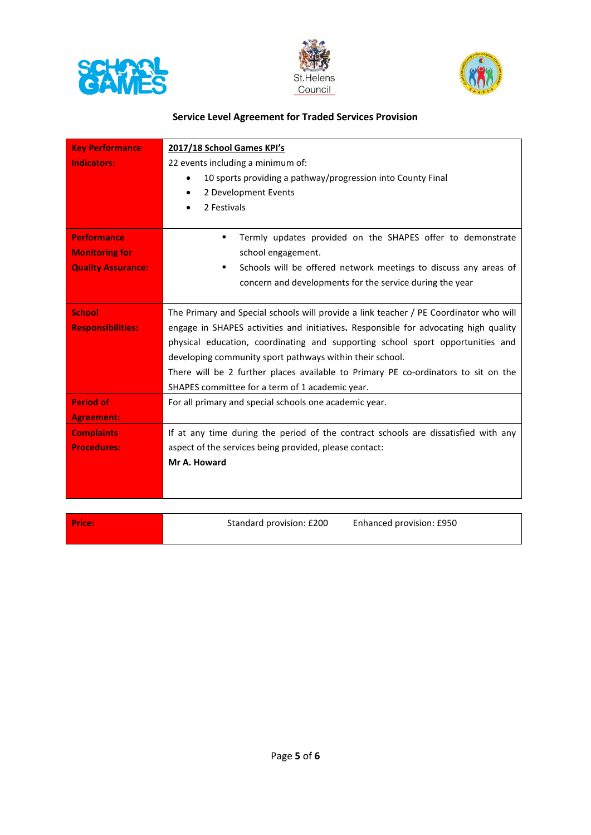





| <b>Key Performance</b>    | 2017/18 School Games KPI's                                                            |  |
|---------------------------|---------------------------------------------------------------------------------------|--|
| <b>Indicators:</b>        | 22 events including a minimum of:                                                     |  |
|                           | 10 sports providing a pathway/progression into County Final<br>$\bullet$              |  |
|                           | 2 Development Events<br>٠                                                             |  |
|                           | 2 Festivals                                                                           |  |
|                           |                                                                                       |  |
| <b>Performance</b>        | Termly updates provided on the SHAPES offer to demonstrate<br>٠                       |  |
| <b>Monitoring for</b>     | school engagement.                                                                    |  |
| <b>Quality Assurance:</b> | Schools will be offered network meetings to discuss any areas of<br>٠                 |  |
|                           | concern and developments for the service during the year                              |  |
|                           |                                                                                       |  |
| <b>School</b>             | The Primary and Special schools will provide a link teacher / PE Coordinator who will |  |
| <b>Responsibilities:</b>  | engage in SHAPES activities and initiatives. Responsible for advocating high quality  |  |
|                           | physical education, coordinating and supporting school sport opportunities and        |  |
|                           | developing community sport pathways within their school.                              |  |
|                           | There will be 2 further places available to Primary PE co-ordinators to sit on the    |  |
|                           | SHAPES committee for a term of 1 academic year.                                       |  |
| <b>Period of</b>          | For all primary and special schools one academic year.                                |  |
| <b>Agreement:</b>         |                                                                                       |  |
| <b>Complaints</b>         | If at any time during the period of the contract schools are dissatisfied with any    |  |
| <b>Procedures:</b>        | aspect of the services being provided, please contact:                                |  |
|                           | Mr A. Howard                                                                          |  |
|                           |                                                                                       |  |
|                           |                                                                                       |  |
|                           |                                                                                       |  |
| <b>Price:</b>             | Standard provision: £200<br>Enhanced provision: £950                                  |  |